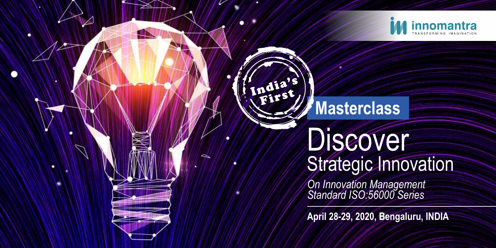

# India's Masterclass

٠

## **Discover** Strategic Innovation

*On Innovation Management Standard ISO:56000 Series* 

**April 28-29, 2020, Bengaluru, INDIA**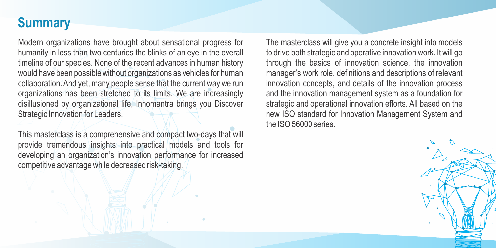### **Summary**

Modern organizations have brought about sensational progress for humanity in less than two centuries the blinks of an eye in the overall timeline of our species. None of the recent advances in human history would have been possible without organizations as vehicles for human collaboration. And yet, many people sense that the current way we run organizations has been stretched to its limits. We are increasingly disillusioned by organizational life, Innomantra brings you Discover Strategic Innovation for Leaders.

This masterclass is a comprehensive and compact two-days that will provide tremendous insights into practical models and tools for developing an organization's innovation performance for increased competitive advantage while decreased risk-taking.

The masterclass will give you a concrete insight into models to drive both strategic and operative innovation work. It will go through the basics of innovation science, the innovation manager's work role, definitions and descriptions of relevant innovation concepts, and details of the innovation process and the innovation management system as a foundation for strategic and operational innovation efforts. All based on the new ISO standard for Innovation Management System and the ISO 56000 series.

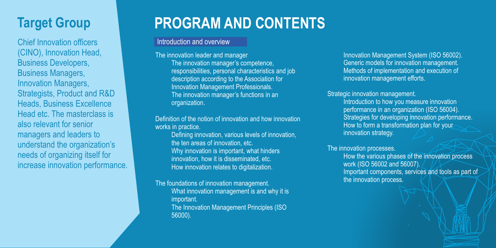## **Target Group**

Chief Innovation officers (CINO), Innovation Head, Business Developers, Business Managers, Innovation Managers, Strategists, Product and R&D Heads, Business Excellence Head etc. The masterclass is also relevant for senior managers and leaders to understand the organization's needs of organizing itself for increase innovation performance.

## **PROGRAM AND CONTENTS**

#### Introduction and overview

The innovation leader and manager The innovation manager's competence, responsibilities, personal characteristics and job description according to the Association for Innovation Management Professionals. The innovation manager's functions in an organization.

Definition of the notion of innovation and how innovation works in practice.

Defining innovation, various levels of innovation, the ten areas of innovation, etc. Why innovation is important, what hinders innovation, how it is disseminated, etc. How innovation relates to digitalization.

The foundations of innovation management. What innovation management is and why it is important. The Innovation Management Principles (ISO 56000).

Innovation Management System (ISO 56002). Generic models for innovation management. Methods of implementation and execution of innovation management efforts.

Strategic innovation management.

Introduction to how you measure innovation performance in an organization (ISO 56004). Strategies for developing innovation performance. How to form a transformation plan for your innovation strategy.

The innovation processes. How the various phases of the innovation process work (ISO 56002 and 56007). Important components, services and tools as part of the innovation process.